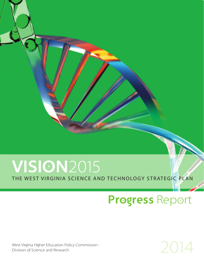# **VISION**2015

### THE WEST VIRGINIA SCIENCE AND TECHNOLOGY STRATEGIC PLAN

## **Progress** Report

2014

West Virginia Higher Education Policy Commission - Division of Science and Research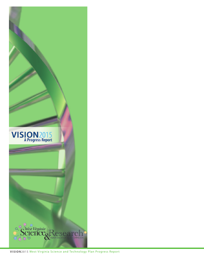

VISION2015 West Virginia Science and Technology Plan Progress Report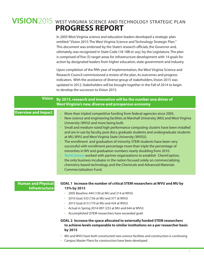## **VISION**2015 WEST VIRGINIA SCIENCE AND TECHNOLOGY STRATEGIC PLAN **PROGRESS REPORT**

In 2005 West Virginia science and education leaders developed a strategic plan entitled:"Vision 2015:The West Virginia Science and Technology Strategic Plan." This document was endorsed by the State's research officials, the Governor and, ultimately,was recognized in State Code (18-18B *et.seq.*) by the Legislature.The plan is comprised of five (5) target areas for infrastructure development with 14 goals for action by designated leaders from higher education, state government and industry.

Upon completion of the fifth year of implementation, the West Virginia Science and Research Council commissioned a review of the plan, its outcomes and progress indicators. With the assistance of diverse group of stakeholders, Vision 2015 was updated in 2012. Stakeholders will be brought together in the Fall of 2014 to begin to develop the successor to Vision 2015.

| <b>Vision</b>                                      | By 2015, research and innovation will be the number one driver of<br>West Virginia's new, diverse and prosperous economy                                                                                                                                                                                                                                                                                                                                                                                                                                                                                                                                                                                                                                                                                                                                                                                                                   |
|----------------------------------------------------|--------------------------------------------------------------------------------------------------------------------------------------------------------------------------------------------------------------------------------------------------------------------------------------------------------------------------------------------------------------------------------------------------------------------------------------------------------------------------------------------------------------------------------------------------------------------------------------------------------------------------------------------------------------------------------------------------------------------------------------------------------------------------------------------------------------------------------------------------------------------------------------------------------------------------------------------|
| <b>Overview and Impact</b>                         | More than tripled competitive funding from federal agencies since 2005.<br>New science and engineering facilities at Marshall University (MU) and West Virginia<br>University (WVU) and more being built.<br>Small and medium-sized high performance computing clusters have been installed<br>and are in use by faculty, post docs, graduate students and undergraduate students<br>at MU, WVU and West Virginia State University (WVSU).<br>The enrollment and graduation of minority STEM students have been very<br>successful with enrollment percentage more than triple the percentage of<br>minorities in WV and graduation numbers nearly doubling from 2010.<br>TechConnect worked with partner organizations to establish ChemCeption,<br>the only business incubator in the nation focused solely on commercializing<br>chemistry-based technology, and the Chemicals and Advanced Materials<br><b>Commercialization Fund.</b> |
| <b>Human and Physical</b><br><b>Infrastructure</b> | GOAL 1 Increase the number of critical STEM researchers at WVU and MU by<br>15% by 2015<br>2005 Baseline: 444 (130 at MU and 314 at WVU)<br>2010 Goal: 533 (156 at MU and 377 at WVU)<br>٠<br>2015 Goal: 613 (179 at MU and 434 at WVU)<br>٠<br>Actual in Spring 2014: 897 (253 at MU and 644 at WVU)<br>٠<br>Accomplished (STEM researchers have exceeded goal)<br>٠<br>GOAL 2 Increase the space allocated to externally funded STEM researchers<br>to achieve levels comparable to similar institutions on a per researcher basis<br>by 2015<br>MU and WVU have both constructed new science facilities and construction is continuing<br>Campus Master Plans for construction have been developed                                                                                                                                                                                                                                      |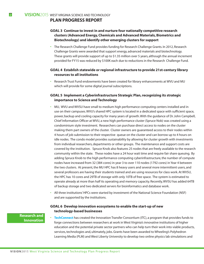2

#### **GOAL 3 Continue to invest in and nurture four nationally competitive research clusters (Advanced Energy,Chemicals and Advanced Materials,Biometrics and Biotechnology) and identify other emerging clusters for support**

• The Research Challenge Fund provides funding for Research Challenge Grants. In 2012, Research Challenge Grants were awarded that support energy, advanced materials and biotechnology. These grants will provide support of up to \$1.35 million over 5 years, although the annual increment provided for FY15 was reduced by \$100K each due to reductions in the Research Challenge Fund.

#### **GOAL 4 Establish statewide or regional infrastructure to provide 21st-century library resources to all institutions**

• Research Trust Fund endowments have been created for library enhancements at WVU and MU which will provide for some digital journal subscriptions.

#### **GOAL 5 Implement a Cyberinfrastructure Strategic Plan,recognizing its strategic importance to Science and Technology**

- MU, WVU and WVSU have small to medium high performance computing centers installed and in use on their campuses.WVU's shared HPC system is located in a dedicated space with sufficient space, power, backup and cooling capacity for many years of growth.With the guidance of Dr.John Campbell, Chief Information Officer at WVU, a new high performance cluster (Spruce Nob) was created using a condominium style investment. Researchers can purchase direct access to nodes on the cluster making them part owners of the cluster. Cluster owners are guaranteed access to their nodes within 4 hours of job submission to their respective queue on the cluster and can borrow up to 4 hours on idle nodes. The condo model provides sustainability by allowing for cluster growth with investments from individual researchers, departments or other groups. The maintenance and support costs are covered by the institution. Spruce Knob also features 25 nodes that are freely available to the research community within the state. These nodes have a 24 hour wait time and require fair share queuing. By adding Spruce Knob to the high performance computing cyberinfrastructure, the number of compute nodes have increased from 32 (384 cores) in year 3 to over 110 nodes (1792 cores) in Year 4 between the two clusters. At present, the MU HPC has 8 heavy users and several more intermittent users, and several professors are having their students trained and are using resources for class work.At WVSU, the HPC has 10 cores and 29TB of storage with only 10TB of free space. The system is estimated to operate already at more than half its operating and memory capacity. Recently,WVSU has added 64TB of backup storage and two dedicated servers for bioinformatics and database work.
- All three institutions'HPCs were started by investment of the National Science Foundation (NSF) and are supported by the institutions.

#### **GOAL 6 Develop innovation ecosystems to enable the start-up of new technology-based businesses**

**Research and Innovation**

• **[TechConnect](http://techconnectwv.org/programs)** has created the Innovation Transfer Consortium (ITC), a program that provides funds to forge connections between researchers at work in West Virginia's innovative institutions of higher education and the potential private sector partners who can help turn their work into viable products, services, technologies and, ultimately, jobs. Grants have been awarded to Wheeling's Polyhedron Learning Media (PLM) and West Liberty University to develop two online physics lab simulations and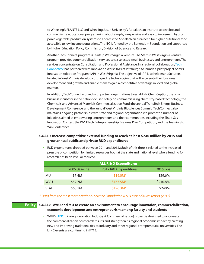to Wheeling's PLANTS LLC and Wheeling Jesuit University's Appalachian Institute to develop and commercialize educational programming about simple, inexpensive and easy to implement hydroponic vegetable production systems to address the Appalachian area need for higher nutritional food accessible to low income populations. The ITC is funded by the Benendum Foundation and supported by Higher Education Policy Commission, Division of Science and Research.

Another TechConnect program is StartUp West Virginia Venture. The Startup West Virginia Venture program provides commercialization services to six selected small businesses and entrepreneurs. The services concentrate on Consultation and Professional Assistance. In a regional collaboration, Tech [ConnectWV h](techconnectwv.org)as partnered with Innovation Works (IW) of Pittsburgh to launch a pilot project of IW's Innovation Adoption Program (IAP) in West Virginia. The objective of IAP is to help manufacturers located in West Virginia develop cutting-edge technologies that will accelerate their business development and growth and enable them to gain a competitive advantage in local and global markets.

In addition, TechConnect worked with partner organizations to establish ChemCeption, the only business incubator in the nation focused solely on commercializing chemistry-based technology; the Chemicals and Advanced Materials Commercialization Fund; the annual TransTech Energy Business Development Conference; and the annual West Virginia Biosciences Summit. TechConnect also maintains ongoing partnerships with state and regional organizations to promote a number of initiatives aimed at empowering entrepreneurs and their communities, including the Shale Gas Innovation Contest; the WVU Tech Entrepreneurship Business Plan Competition; and the Teaming to Win Conference.

#### **GOAL 7 Increase competitive external funding to reach at least \$240 million by 2015 and grow annual public and private R&D expenditures**

• R&D expenditures dropped between 2011 and 2012. Much of this drop is related to the increased pressure of competition for limited resources both at the state and national level where funding for research has been level or reduced.

| <b>ALL R &amp; D Expenditures</b> |               |                       |                  |  |  |  |
|-----------------------------------|---------------|-----------------------|------------------|--|--|--|
|                                   | 2005 Baseline | 2012 R&D Expenditures | <b>2015 Goal</b> |  |  |  |
| MU                                | \$7.4M        | $$19.0M*$             | \$29.6M          |  |  |  |
| <b>WVU</b>                        | \$52.7M       | $$163.5M*$            | \$210.8M         |  |  |  |
| <b>STATE</b>                      | \$60.1M       | $$196.3M*$            | \$240M           |  |  |  |

*\* Data from the most recent National Science Foundation R & D expenditures report (2012).* 

**Policy**

#### **GOAL 8 WVU and MU to create an environment to encourage innovation, commercialization, economic development and entrepreneurism among faculty and students**

• WVU's [LIINC](http://innovation.research.wvu.edu/) (Linking Innovation Industry & Commercialization) project is designed to accelerate the commercialization of research results and strengthen its regional economic impact by creating new and improving traditional ties to industry and other regional entrepreneurial universities. The LIINC events are continuing in FY15.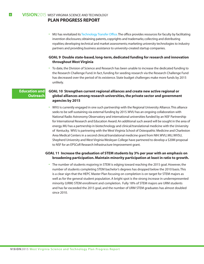• MU has revitalized its [Technology](http://www.marshall.edu/tto/) Transfer Office. The office provides resources for faculty by facilitating invention disclosures;obtaining patents, copyrights and trademarks; collecting and distributing royalties; developing technical and market assessments; marketing university technologies to industry partners and providing business assistance to university-created startup companies.

#### **GOAL 9 Double state-based, long-term,dedicated funding for research and innovation throughout West Virginia**

• To date, the Division of Science and Research has been unable to increase the dedicated funding to the Research Challenge Fund. In fact, funding for seeding research via the Research Challenge Fund has decreased over the period of its existence. State budget challenges make more funds by 2015 unlikely.

#### **Education and Outreach**

#### **GOAL 10 Strengthen current regional alliances and create new active regional or global alliances among research universities,the private sector and government agencies by 2015**

• WVU is currently engaged in one such partnership with the Regional University Alliance.This alliance seeks to be self-sustaining via external funding by 2015. WVU has an ongoing collaboration with National Radio Astronomy Observatory and international universities funded by an NSF Partnership for International Research and Education Award. An additional such award will be sought in the area of energy.MU has a partnership in biotechnology and clinical/translational medicine with the University of Kentucky. WVU is partnering with the West Virginia School of Osteopathic Medicine and Charleston Area Medical Centersin a second clinical/translational medicine grant from NIH.WVU,MU,WVSU, Shepherd University and West Virginia Wesleyan College have partnered to develop a \$20M proposal to NSF for an EPSCoR Research Infrastructure Improvement grant.

#### **GOAL 11 Increase the graduation of STEM students by 3% per year with an emphasis on broadening participation. Maintain minority participation at least in ratio to growth.**

• The number of students majoring in STEM is edging toward reaching the 2015 goal.However,the number of students completing STEM bachelor's degrees has dropped below the 2010 basis.This is a clear sign that the HEPC Master Plan focusing on completion is on target for STEM majors as well as for the general student population.A bright spot is the strong increase in underrepresented minority (URM) STEM enrollment and completion. Fully 18% of STEM majors are URM students and has far exceeded the 2015 goal, and the number of URM STEM graduates has almost doubled since 2010.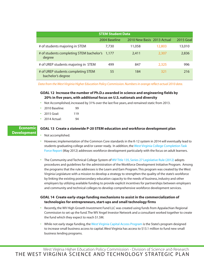| <b>STEM Student Data</b>                                |               |                            |        |                  |  |  |  |
|---------------------------------------------------------|---------------|----------------------------|--------|------------------|--|--|--|
|                                                         | 2004 Baseline | 2010 New Basis 2013 Actual |        | <b>2015 Goal</b> |  |  |  |
| # of students majoring in STEM                          | 7,730         | 11,058                     | 12,803 | 13,010           |  |  |  |
| # of students completing STEM bachelor's<br>degree      | 1.177         | 2.411                      | 2,307  | 2,836            |  |  |  |
| # of UREP students majoring in STEM                     | 499           | 847                        | 2,325  | 996              |  |  |  |
| # of UREP students completing STEM<br>bachelor's degree | 55            | 184                        | 321    | 216              |  |  |  |

*Data from the West Virginia Higher Education Policy Commission.Numbersin orange reflect actual 2010 data.*

#### **GOAL 12 Increase the number of Ph.D.s awarded in science and engineering fields by 20% in five years,with additional focus on U.S.nationals and diversity**

- Not Accomplished, increased by 31% over the last five years, and remained static from 2013.
- 2010 Baseline: 99
- 2015 Goal: 119
- 2014 Actual: 94

#### **Economic Development**

#### **GOAL 13 Create a statewide P-20 STEM education and workforce development plan**

- Not accomplished.
- However, implementation of the Common Core standards in the K-12 system in 2014 will eventually lead to students graduating college and/or career ready. In addition, the West Virginia College [Completion](https://www.wvhepc.org/downloads/LOCEA/Educating_West_Virginia_is_Everyones_Business_Report_from_the_West_Virginia_College_Completion_Task_Force.pdf) Task Force [Report](https://www.wvhepc.org/downloads/LOCEA/Educating_West_Virginia_is_Everyones_Business_Report_from_the_West_Virginia_College_Completion_Task_Force.pdf) (May 2012) addresses workforce development particularly with the focus on adult learners.
- The Community and Technical College System of WV Title 135, Series 27 [Legislative](http://apps.sos.wv.gov/adlaw/csr/ruleview.aspx?document=1259) Rule (2012) adopts procedures and guidelines for the administration of the Workforce Development Initiative Program. Among the programs that the rule addresses is the Learn and Earn Program.This program was created by the West Virginia Legislature with a mission to develop a strategy to strengthen the quality of the state's workforce by linking the existing postsecondary education capacity to the needs of business, industry and other employers by utilizing available funding to provide explicit incentives for partnerships between employers and community and technical colleges to develop comprehensive workforce development services.

#### **GOAL 14 Create early-stage funding mechanisms to assist in the commercialization of technologies for entrepreneurs, start-ups and small technology firms**

- Recently,the WV High Growth Investment Fund LLC was created using funds from Appalachian Regional Commission to set up the fund.The WV Angel Investor Network and a consultant worked together to create the fund which they expect to reach \$1.5M.
- While not early stage funding, the West Virginia Capital Access [Program](http://www.wvcommerce.org/(S(rcmt5cnfbjw0o555tccg4lyq))/info/west-virginia-edge/wv-edge-issue1-2012/small_businesses_score_big/wvcap.aspx) is the State's program designed to increase small business access to capital.West Virginia has access to \$13.1 million to fund new small business lending programs.